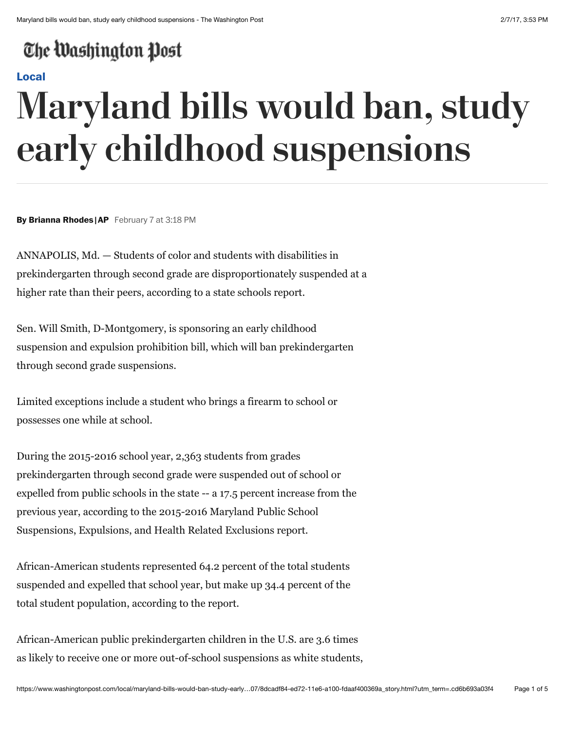## The Washington Post

### **[Local](https://www.washingtonpost.com/local)**

# **Maryland bills would ban, study early childhood suspensions**

**By Brianna Rhodes |AP** February 7 at 3:18 PM

ANNAPOLIS, Md. — Students of color and students with disabilities in prekindergarten through second grade are disproportionately suspended at a higher rate than their peers, according to a state schools report.

Sen. Will Smith, D-Montgomery, is sponsoring an early childhood suspension and expulsion prohibition bill, which will ban prekindergarten through second grade suspensions.

Limited exceptions include a student who brings a firearm to school or possesses one while at school.

During the 2015-2016 school year, 2,363 students from grades prekindergarten through second grade were suspended out of school or expelled from public schools in the state -- a 17.5 percent increase from the previous year, according to the 2015-2016 Maryland Public School Suspensions, Expulsions, and Health Related Exclusions report.

African-American students represented 64.2 percent of the total students suspended and expelled that school year, but make up 34.4 percent of the total student population, according to the report.

African-American public prekindergarten children in the U.S. are 3.6 times as likely to receive one or more out-of-school suspensions as white students,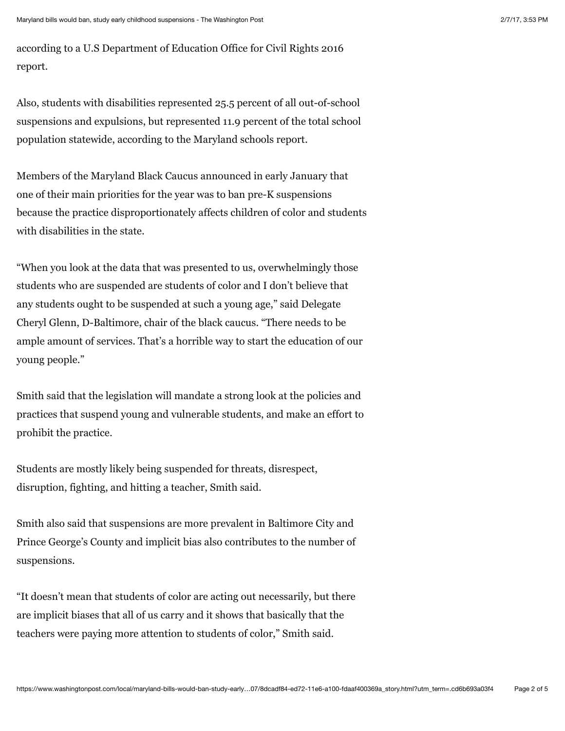according to a U.S Department of Education Office for Civil Rights 2016 report.

Also, students with disabilities represented 25.5 percent of all out-of-school suspensions and expulsions, but represented 11.9 percent of the total school population statewide, according to the Maryland schools report.

Members of the Maryland Black Caucus announced in early January that one of their main priorities for the year was to ban pre-K suspensions because the practice disproportionately affects children of color and students with disabilities in the state.

"When you look at the data that was presented to us, overwhelmingly those students who are suspended are students of color and I don't believe that any students ought to be suspended at such a young age," said Delegate Cheryl Glenn, D-Baltimore, chair of the black caucus. "There needs to be ample amount of services. That's a horrible way to start the education of our young people."

Smith said that the legislation will mandate a strong look at the policies and practices that suspend young and vulnerable students, and make an effort to prohibit the practice.

Students are mostly likely being suspended for threats, disrespect, disruption, fighting, and hitting a teacher, Smith said.

Smith also said that suspensions are more prevalent in Baltimore City and Prince George's County and implicit bias also contributes to the number of suspensions.

"It doesn't mean that students of color are acting out necessarily, but there are implicit biases that all of us carry and it shows that basically that the teachers were paying more attention to students of color," Smith said.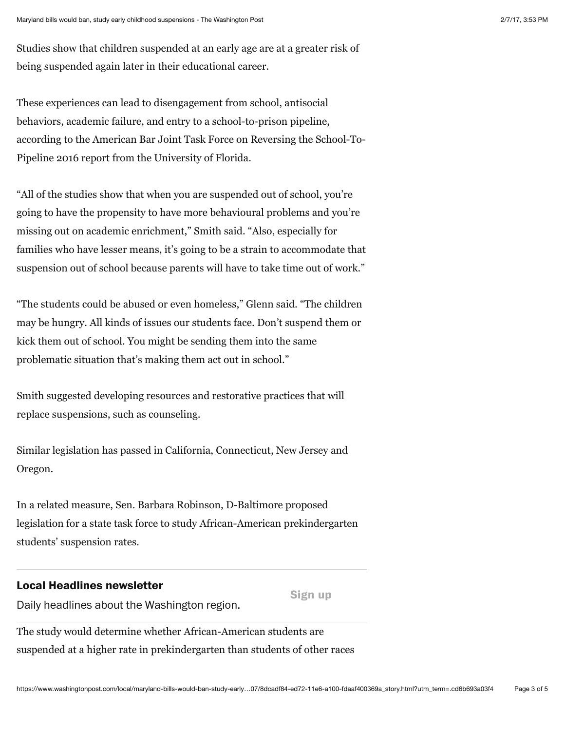Studies show that children suspended at an early age are at a greater risk of being suspended again later in their educational career.

These experiences can lead to disengagement from school, antisocial behaviors, academic failure, and entry to a school-to-prison pipeline, according to the American Bar Joint Task Force on Reversing the School-To-Pipeline 2016 report from the University of Florida.

"All of the studies show that when you are suspended out of school, you're going to have the propensity to have more behavioural problems and you're missing out on academic enrichment," Smith said. "Also, especially for families who have lesser means, it's going to be a strain to accommodate that suspension out of school because parents will have to take time out of work."

"The students could be abused or even homeless," Glenn said. "The children may be hungry. All kinds of issues our students face. Don't suspend them or kick them out of school. You might be sending them into the same problematic situation that's making them act out in school."

Smith suggested developing resources and restorative practices that will replace suspensions, such as counseling.

Similar legislation has passed in California, Connecticut, New Jersey and Oregon.

In a related measure, Sen. Barbara Robinson, D-Baltimore proposed legislation for a state task force to study African-American prekindergarten students' suspension rates.

#### **Local Headlines newsletter**

Daily headlines about the Washington region.

**Sign up**

The study would determine whether African-American students are suspended at a higher rate in prekindergarten than students of other races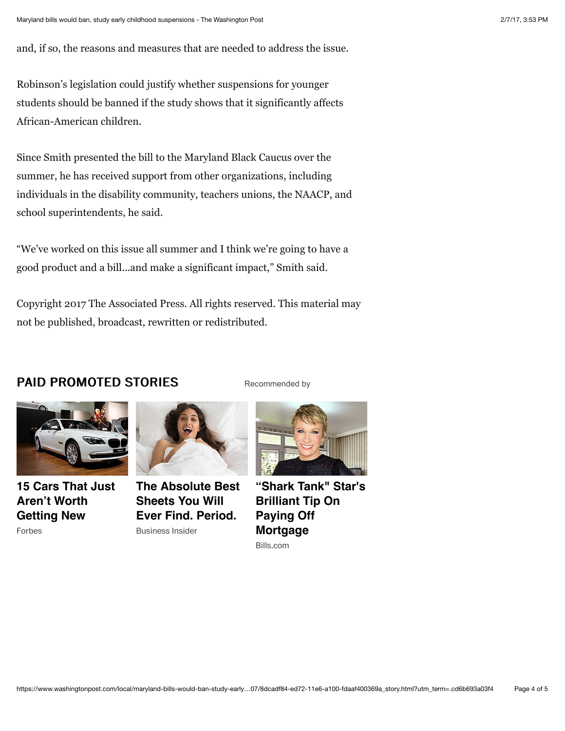and, if so, the reasons and measures that are needed to address the issue.

Robinson's legislation could justify whether suspensions for younger students should be banned if the study shows that it significantly affects African-American children.

Since Smith presented the bill to the Maryland Black Caucus over the summer, he has received support from other organizations, including individuals in the disability community, teachers unions, the NAACP, and school superintendents, he said.

"We've worked on this issue all summer and I think we're going to have a good product and a bill...and make a significant impact," Smith said.

Copyright 2017 The Associated Press. All rights reserved. This material may not be published, broadcast, rewritten or redistributed.

### PAID PROMOTED STORIES



**[15 Cars That Just](http://www3.forbes.com/business/15-new-cars-to-avoid/?utm_campaign=cars-to-avoid&utm_source=Outbrain&utm_medium=referral&utm_content=0032594b28fb45a9665780cda86025dc93&) Aren't Worth Getting New** Forbes



**[The Absolute Best](https://www.brooklinen.com/pages/business-insider-outbrain) Sheets You Will Ever Find. Period.** Business Insider



[Recommended by](https://www.outbrain.com/what-is/default/en)

**["Shark Tank" Star's](https://www.bills.com/shark-tank-star-urges-homeowners-today-1?utm_term=barbindoorsclose.jpg_33a036_121916&utm_source=outbrain&utm_adgroup=Bills_BC_IMG_Desktop&utm_medium=0032594b28fb45a9665780cda86025dc93&utm_placement=0088118330fdc201d702cd9f0a82a27c24) Brilliant Tip On Paying Off Mortgage** Bills.com